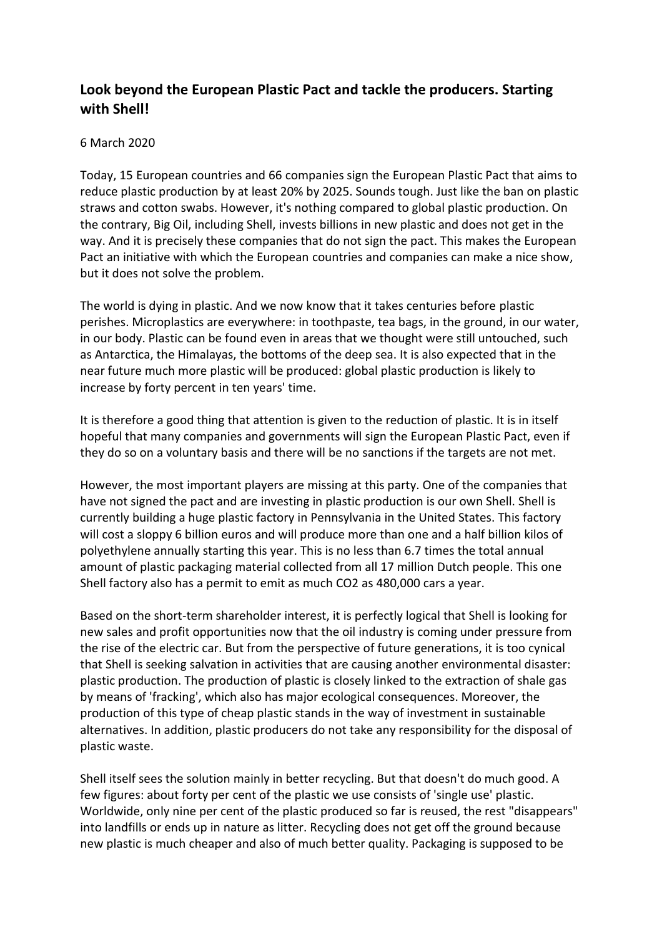## **Look beyond the European Plastic Pact and tackle the producers. Starting with Shell!**

## 6 March 2020

Today, 15 European countries and 66 companies sign the European Plastic Pact that aims to reduce plastic production by at least 20% by 2025. Sounds tough. Just like the ban on plastic straws and cotton swabs. However, it's nothing compared to global plastic production. On the contrary, Big Oil, including Shell, invests billions in new plastic and does not get in the way. And it is precisely these companies that do not sign the pact. This makes the European Pact an initiative with which the European countries and companies can make a nice show, but it does not solve the problem.

The world is dying in plastic. And we now know that it takes centuries before plastic perishes. Microplastics are everywhere: in toothpaste, tea bags, in the ground, in our water, in our body. Plastic can be found even in areas that we thought were still untouched, such as Antarctica, the Himalayas, the bottoms of the deep sea. It is also expected that in the near future much more plastic will be produced: global plastic production is likely to increase by forty percent in ten years' time.

It is therefore a good thing that attention is given to the reduction of plastic. It is in itself hopeful that many companies and governments will sign the European Plastic Pact, even if they do so on a voluntary basis and there will be no sanctions if the targets are not met.

However, the most important players are missing at this party. One of the companies that have not signed the pact and are investing in plastic production is our own Shell. Shell is currently building a huge plastic factory in Pennsylvania in the United States. This factory will cost a sloppy 6 billion euros and will produce more than one and a half billion kilos of polyethylene annually starting this year. This is no less than 6.7 times the total annual amount of plastic packaging material collected from all 17 million Dutch people. This one Shell factory also has a permit to emit as much CO2 as 480,000 cars a year.

Based on the short-term shareholder interest, it is perfectly logical that Shell is looking for new sales and profit opportunities now that the oil industry is coming under pressure from the rise of the electric car. But from the perspective of future generations, it is too cynical that Shell is seeking salvation in activities that are causing another environmental disaster: plastic production. The production of plastic is closely linked to the extraction of shale gas by means of 'fracking', which also has major ecological consequences. Moreover, the production of this type of cheap plastic stands in the way of investment in sustainable alternatives. In addition, plastic producers do not take any responsibility for the disposal of plastic waste.

Shell itself sees the solution mainly in better recycling. But that doesn't do much good. A few figures: about forty per cent of the plastic we use consists of 'single use' plastic. Worldwide, only nine per cent of the plastic produced so far is reused, the rest "disappears" into landfills or ends up in nature as litter. Recycling does not get off the ground because new plastic is much cheaper and also of much better quality. Packaging is supposed to be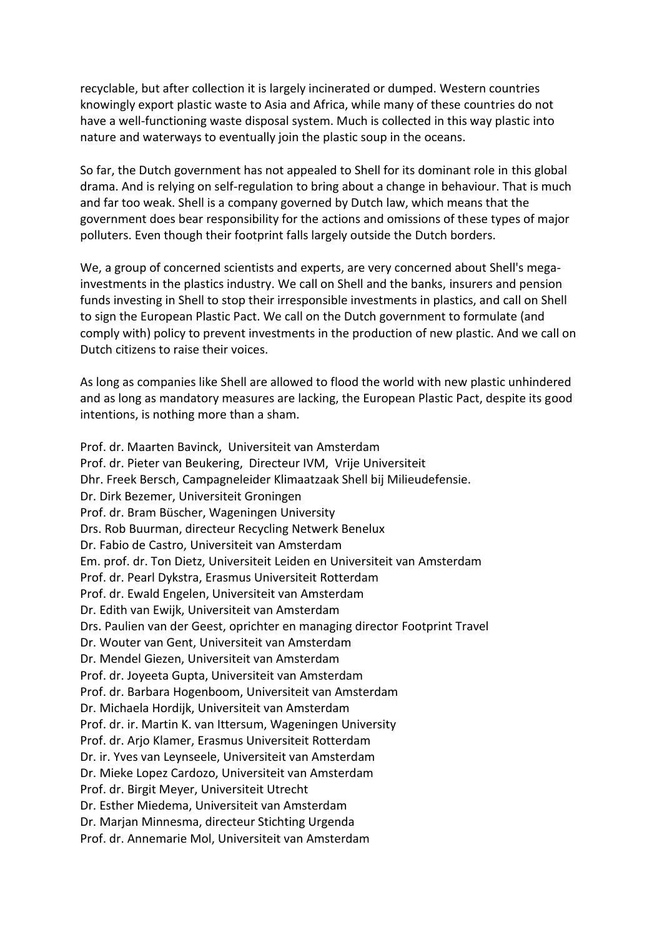recyclable, but after collection it is largely incinerated or dumped. Western countries knowingly export plastic waste to Asia and Africa, while many of these countries do not have a well-functioning waste disposal system. Much is collected in this way plastic into nature and waterways to eventually join the plastic soup in the oceans.

So far, the Dutch government has not appealed to Shell for its dominant role in this global drama. And is relying on self-regulation to bring about a change in behaviour. That is much and far too weak. Shell is a company governed by Dutch law, which means that the government does bear responsibility for the actions and omissions of these types of major polluters. Even though their footprint falls largely outside the Dutch borders.

We, a group of concerned scientists and experts, are very concerned about Shell's megainvestments in the plastics industry. We call on Shell and the banks, insurers and pension funds investing in Shell to stop their irresponsible investments in plastics, and call on Shell to sign the European Plastic Pact. We call on the Dutch government to formulate (and comply with) policy to prevent investments in the production of new plastic. And we call on Dutch citizens to raise their voices.

As long as companies like Shell are allowed to flood the world with new plastic unhindered and as long as mandatory measures are lacking, the European Plastic Pact, despite its good intentions, is nothing more than a sham.

Prof. dr. Maarten Bavinck, Universiteit van Amsterdam Prof. dr. Pieter van Beukering, Directeur IVM, Vrije Universiteit Dhr. Freek Bersch, Campagneleider Klimaatzaak Shell bij Milieudefensie. Dr. Dirk Bezemer, Universiteit Groningen Prof. dr. Bram Büscher, Wageningen University Drs. Rob Buurman, directeur Recycling Netwerk Benelux Dr. Fabio de Castro, Universiteit van Amsterdam Em. prof. dr. Ton Dietz, Universiteit Leiden en Universiteit van Amsterdam Prof. dr. Pearl Dykstra, Erasmus Universiteit Rotterdam Prof. dr. Ewald Engelen, Universiteit van Amsterdam Dr. Edith van Ewijk, Universiteit van Amsterdam Drs. Paulien van der Geest, oprichter en managing director Footprint Travel Dr. Wouter van Gent, Universiteit van Amsterdam Dr. Mendel Giezen, Universiteit van Amsterdam Prof. dr. Joyeeta Gupta, Universiteit van Amsterdam Prof. dr. Barbara Hogenboom, Universiteit van Amsterdam Dr. Michaela Hordijk, Universiteit van Amsterdam Prof. dr. ir. Martin K. van Ittersum, Wageningen University Prof. dr. Arjo Klamer, Erasmus Universiteit Rotterdam Dr. ir. Yves van Leynseele, Universiteit van Amsterdam Dr. Mieke Lopez Cardozo, Universiteit van Amsterdam Prof. dr. Birgit Meyer, Universiteit Utrecht Dr. Esther Miedema, Universiteit van Amsterdam Dr. Marjan Minnesma, directeur Stichting Urgenda Prof. dr. Annemarie Mol, Universiteit van Amsterdam